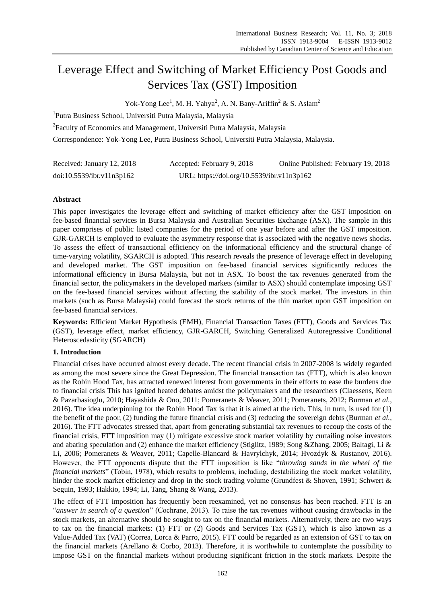# Leverage Effect and Switching of Market Efficiency Post Goods and Services Tax (GST) Imposition

Yok-Yong Lee<sup>1</sup>, M. H. Yahya<sup>2</sup>, A. N. Bany-Ariffin<sup>2</sup> & S. Aslam<sup>2</sup>

<sup>1</sup>Putra Business School, Universiti Putra Malaysia, Malaysia

<sup>2</sup>Faculty of Economics and Management, Universiti Putra Malaysia, Malaysia

Correspondence: Yok-Yong Lee, Putra Business School, Universiti Putra Malaysia, Malaysia.

| Received: January 12, 2018 | Accepted: February 9, 2018                 | Online Published: February 19, 2018 |
|----------------------------|--------------------------------------------|-------------------------------------|
| doi:10.5539/ibr.v11n3p162  | URL: https://doi.org/10.5539/ibr.v11n3p162 |                                     |

## **Abstract**

This paper investigates the leverage effect and switching of market efficiency after the GST imposition on fee-based financial services in Bursa Malaysia and Australian Securities Exchange (ASX). The sample in this paper comprises of public listed companies for the period of one year before and after the GST imposition. GJR-GARCH is employed to evaluate the asymmetry response that is associated with the negative news shocks. To assess the effect of transactional efficiency on the informational efficiency and the structural change of time-varying volatility, SGARCH is adopted. This research reveals the presence of leverage effect in developing and developed market. The GST imposition on fee-based financial services significantly reduces the informational efficiency in Bursa Malaysia, but not in ASX. To boost the tax revenues generated from the financial sector, the policymakers in the developed markets (similar to ASX) should contemplate imposing GST on the fee-based financial services without affecting the stability of the stock market. The investors in thin markets (such as Bursa Malaysia) could forecast the stock returns of the thin market upon GST imposition on fee-based financial services.

**Keywords:** Efficient Market Hypothesis (EMH), Financial Transaction Taxes (FTT), Goods and Services Tax (GST), leverage effect, market efficiency, GJR-GARCH, Switching Generalized Autoregressive Conditional Heteroscedasticity (SGARCH)

#### **1. Introduction**

Financial crises have occurred almost every decade. The recent financial crisis in 2007-2008 is widely regarded as among the most severe since the Great Depression. The financial transaction tax (FTT), which is also known as the Robin Hood Tax, has attracted renewed interest from governments in their efforts to ease the burdens due to financial crisis This has ignited heated debates amidst the policymakers and the researchers (Claessens, Keen & Pazarbasioglu, 2010; Hayashida & Ono, 2011; Pomeranets & Weaver, 2011; Pomeranets, 2012; Burman *et al.*, 2016). The idea underpinning for the Robin Hood Tax is that it is aimed at the rich. This, in turn, is used for (1) the benefit of the poor, (2) funding the future financial crisis and (3) reducing the sovereign debts (Burman *et al.*, 2016). The FTT advocates stressed that, apart from generating substantial tax revenues to recoup the costs of the financial crisis, FTT imposition may (1) mitigate excessive stock market volatility by curtailing noise investors and abating speculation and (2) enhance the market efficiency (Stiglitz, 1989; Song &Zhang, 2005; Baltagi, Li & Li, 2006; Pomeranets & Weaver, 2011; Capelle-Blancard & Havrylchyk, 2014; Hvozdyk & Rustanov, 2016). However, the FTT opponents dispute that the FTT imposition is like "*throwing sands in the wheel of the financial markets*" (Tobin, 1978), which results to problems, including, destabilizing the stock market volatility, hinder the stock market efficiency and drop in the stock trading volume (Grundfest & Shoven, 1991; Schwert & Seguin, 1993; Hakkio, 1994; Li, Tang, Shang & Wang, 2013).

The effect of FTT imposition has frequently been reexamined, yet no consensus has been reached. FTT is an "*answer in search of a question*" (Cochrane, 2013). To raise the tax revenues without causing drawbacks in the stock markets, an alternative should be sought to tax on the financial markets. Alternatively, there are two ways to tax on the financial markets: (1) FTT or (2) Goods and Services Tax (GST), which is also known as a Value-Added Tax (VAT) (Correa, Lorca & Parro, 2015). FTT could be regarded as an extension of GST to tax on the financial markets (Arellano & Corbo, 2013). Therefore, it is worthwhile to contemplate the possibility to impose GST on the financial markets without producing significant friction in the stock markets. Despite the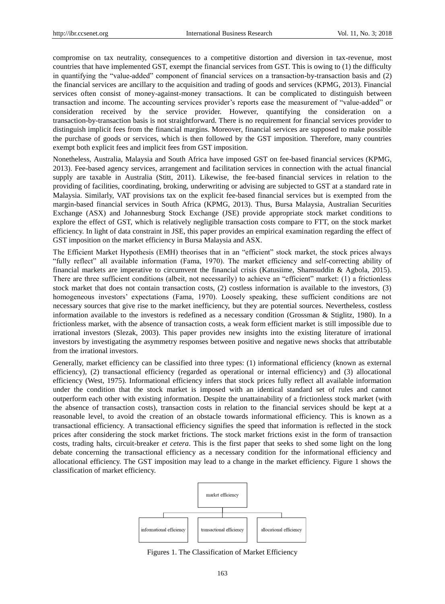compromise on tax neutrality, consequences to a competitive distortion and diversion in tax-revenue, most countries that have implemented GST, exempt the financial services from GST. This is owing to (1) the difficulty in quantifying the "value-added" component of financial services on a transaction-by-transaction basis and (2) the financial services are ancillary to the acquisition and trading of goods and services (KPMG, 2013). Financial services often consist of money-against-money transactions. It can be complicated to distinguish between transaction and income. The accounting services provider's reports ease the measurement of "value-added" or consideration received by the service provider. However, quantifying the consideration on a transaction-by-transaction basis is not straightforward. There is no requirement for financial services provider to distinguish implicit fees from the financial margins. Moreover, financial services are supposed to make possible the purchase of goods or services, which is then followed by the GST imposition. Therefore, many countries exempt both explicit fees and implicit fees from GST imposition.

Nonetheless, Australia, Malaysia and South Africa have imposed GST on fee-based financial services (KPMG, 2013). Fee-based agency services, arrangement and facilitation services in connection with the actual financial supply are taxable in Australia (Stitt, 2011). Likewise, the fee-based financial services in relation to the providing of facilities, coordinating, broking, underwriting or advising are subjected to GST at a standard rate in Malaysia. Similarly, VAT provisions tax on the explicit fee-based financial services but is exempted from the margin-based financial services in South Africa (KPMG, 2013). Thus, Bursa Malaysia, Australian Securities Exchange (ASX) and Johannesburg Stock Exchange (JSE) provide appropriate stock market conditions to explore the effect of GST, which is relatively negligible transaction costs compare to FTT, on the stock market efficiency. In light of data constraint in JSE, this paper provides an empirical examination regarding the effect of GST imposition on the market efficiency in Bursa Malaysia and ASX.

The Efficient Market Hypothesis (EMH) theorises that in an "efficient" stock market, the stock prices always "fully reflect" all available information (Fama, 1970). The market efficiency and self-correcting ability of financial markets are imperative to circumvent the financial crisis (Katusiime, Shamsuddin & Agbola, 2015). There are three sufficient conditions (albeit, not necessarily) to achieve an "efficient" market: (1) a frictionless stock market that does not contain transaction costs, (2) costless information is available to the investors, (3) homogeneous investors' expectations (Fama, 1970). Loosely speaking, these sufficient conditions are not necessary sources that give rise to the market inefficiency, but they are potential sources. Nevertheless, costless information available to the investors is redefined as a necessary condition (Grossman & Stiglitz, 1980). In a frictionless market, with the absence of transaction costs, a weak form efficient market is still impossible due to irrational investors (Slezak, 2003). This paper provides new insights into the existing literature of irrational investors by investigating the asymmetry responses between positive and negative news shocks that attributable from the irrational investors.

Generally, market efficiency can be classified into three types: (1) informational efficiency (known as external efficiency), (2) transactional efficiency (regarded as operational or internal efficiency) and (3) allocational efficiency (West, 1975). Informational efficiency infers that stock prices fully reflect all available information under the condition that the stock market is imposed with an identical standard set of rules and cannot outperform each other with existing information. Despite the unattainability of a frictionless stock market (with the absence of transaction costs), transaction costs in relation to the financial services should be kept at a reasonable level, to avoid the creation of an obstacle towards informational efficiency. This is known as a transactional efficiency. A transactional efficiency signifies the speed that information is reflected in the stock prices after considering the stock market frictions. The stock market frictions exist in the form of transaction costs, trading halts, circuit-breaker *et cetera*. This is the first paper that seeks to shed some light on the long debate concerning the transactional efficiency as a necessary condition for the informational efficiency and allocational efficiency. The GST imposition may lead to a change in the market efficiency. Figure 1 shows the classification of market efficiency.



Figures 1. The Classification of Market Efficiency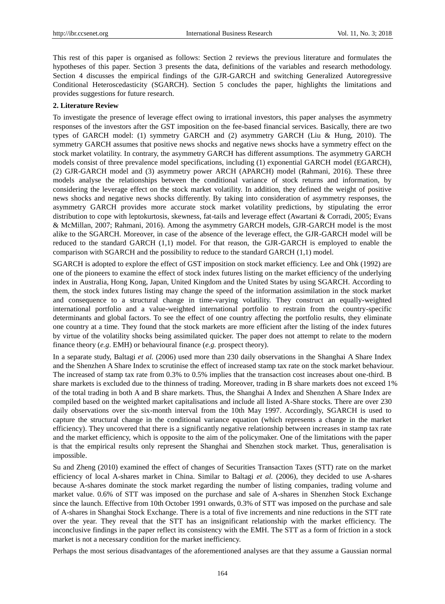This rest of this paper is organised as follows: Section 2 reviews the previous literature and formulates the hypotheses of this paper. Section 3 presents the data, definitions of the variables and research methodology. Section 4 discusses the empirical findings of the GJR-GARCH and switching Generalized Autoregressive Conditional Heteroscedasticity (SGARCH). Section 5 concludes the paper, highlights the limitations and provides suggestions for future research.

#### **2. Literature Review**

To investigate the presence of leverage effect owing to irrational investors, this paper analyses the asymmetry responses of the investors after the GST imposition on the fee-based financial services. Basically, there are two types of GARCH model: (1) symmetry GARCH and (2) asymmetry GARCH (Liu & Hung, 2010). The symmetry GARCH assumes that positive news shocks and negative news shocks have a symmetry effect on the stock market volatility. In contrary, the asymmetry GARCH has different assumptions. The asymmetry GARCH models consist of three prevalence model specifications, including (1) exponential GARCH model (EGARCH), (2) GJR-GARCH model and (3) asymmetry power ARCH (APARCH) model (Rahmani, 2016). These three models analyse the relationships between the conditional variance of stock returns and information, by considering the leverage effect on the stock market volatility. In addition, they defined the weight of positive news shocks and negative news shocks differently. By taking into consideration of asymmetry responses, the asymmetry GARCH provides more accurate stock market volatility predictions, by stipulating the error distribution to cope with leptokurtosis, skewness, fat-tails and leverage effect (Awartani & Corradi, 2005; Evans & McMillan, 2007; Rahmani, 2016). Among the asymmetry GARCH models, GJR-GARCH model is the most alike to the SGARCH. Moreover, in case of the absence of the leverage effect, the GJR-GARCH model will be reduced to the standard GARCH (1,1) model. For that reason, the GJR-GARCH is employed to enable the comparison with SGARCH and the possibility to reduce to the standard GARCH (1,1) model.

SGARCH is adopted to explore the effect of GST imposition on stock market efficiency. Lee and Ohk (1992) are one of the pioneers to examine the effect of stock index futures listing on the market efficiency of the underlying index in Australia, Hong Kong, Japan, United Kingdom and the United States by using SGARCH. According to them, the stock index futures listing may change the speed of the information assimilation in the stock market and consequence to a structural change in time-varying volatility. They construct an equally-weighted international portfolio and a value-weighted international portfolio to restrain from the country-specific determinants and global factors. To see the effect of one country affecting the portfolio results, they eliminate one country at a time. They found that the stock markets are more efficient after the listing of the index futures by virtue of the volatility shocks being assimilated quicker. The paper does not attempt to relate to the modern finance theory (*e.g*. EMH) or behavioural finance (*e.g.* prospect theory).

In a separate study, Baltagi *et al.* (2006) used more than 230 daily observations in the Shanghai A Share Index and the Shenzhen A Share Index to scrutinise the effect of increased stamp tax rate on the stock market behaviour. The increased of stamp tax rate from 0.3% to 0.5% implies that the transaction cost increases about one-third. B share markets is excluded due to the thinness of trading. Moreover, trading in B share markets does not exceed 1% of the total trading in both A and B share markets. Thus, the Shanghai A Index and Shenzhen A Share Index are compiled based on the weighted market capitalisations and include all listed A-Share stocks. There are over 230 daily observations over the six-month interval from the 10th May 1997. Accordingly, SGARCH is used to capture the structural change in the conditional variance equation (which represents a change in the market efficiency). They uncovered that there is a significantly negative relationship between increases in stamp tax rate and the market efficiency, which is opposite to the aim of the policymaker. One of the limitations with the paper is that the empirical results only represent the Shanghai and Shenzhen stock market. Thus, generalisation is impossible.

Su and Zheng (2010) examined the effect of changes of Securities Transaction Taxes (STT) rate on the market efficiency of local A-shares market in China. Similar to Baltagi *et al.* (2006), they decided to use A-shares because A-shares dominate the stock market regarding the number of listing companies, trading volume and market value. 0.6% of STT was imposed on the purchase and sale of A-shares in Shenzhen Stock Exchange since the launch. Effective from 10th October 1991 onwards, 0.3% of STT was imposed on the purchase and sale of A-shares in Shanghai Stock Exchange. There is a total of five increments and nine reductions in the STT rate over the year. They reveal that the STT has an insignificant relationship with the market efficiency. The inconclusive findings in the paper reflect its consistency with the EMH. The STT as a form of friction in a stock market is not a necessary condition for the market inefficiency.

Perhaps the most serious disadvantages of the aforementioned analyses are that they assume a Gaussian normal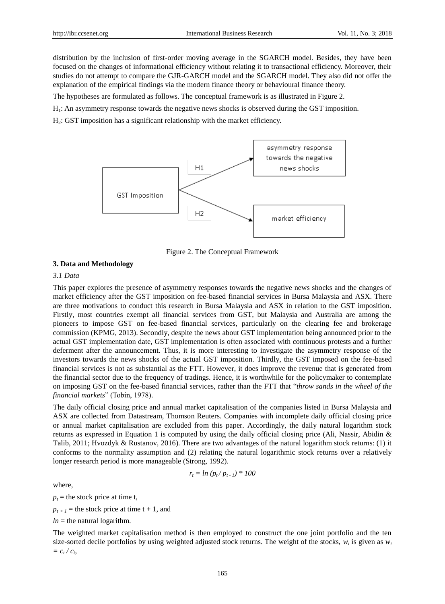distribution by the inclusion of first-order moving average in the SGARCH model. Besides, they have been focused on the changes of informational efficiency without relating it to transactional efficiency. Moreover, their studies do not attempt to compare the GJR-GARCH model and the SGARCH model. They also did not offer the explanation of the empirical findings via the modern finance theory or behavioural finance theory.

The hypotheses are formulated as follows. The conceptual framework is as illustrated in Figure 2.

H1: An asymmetry response towards the negative news shocks is observed during the GST imposition.

 $H<sub>2</sub>$ : GST imposition has a significant relationship with the market efficiency.



Figure 2. The Conceptual Framework

#### **3. Data and Methodology**

## *3.1 Data*

This paper explores the presence of asymmetry responses towards the negative news shocks and the changes of market efficiency after the GST imposition on fee-based financial services in Bursa Malaysia and ASX. There are three motivations to conduct this research in Bursa Malaysia and ASX in relation to the GST imposition. Firstly, most countries exempt all financial services from GST, but Malaysia and Australia are among the pioneers to impose GST on fee-based financial services, particularly on the clearing fee and brokerage commission (KPMG, 2013). Secondly, despite the news about GST implementation being announced prior to the actual GST implementation date, GST implementation is often associated with continuous protests and a further deferment after the announcement. Thus, it is more interesting to investigate the asymmetry response of the investors towards the news shocks of the actual GST imposition. Thirdly, the GST imposed on the fee-based financial services is not as substantial as the FTT. However, it does improve the revenue that is generated from the financial sector due to the frequency of tradings. Hence, it is worthwhile for the policymaker to contemplate on imposing GST on the fee-based financial services, rather than the FTT that "*throw sands in the wheel of the financial markets*" (Tobin, 1978).

The daily official closing price and annual market capitalisation of the companies listed in Bursa Malaysia and ASX are collected from Datastream, Thomson Reuters. Companies with incomplete daily official closing price or annual market capitalisation are excluded from this paper. Accordingly, the daily natural logarithm stock returns as expressed in Equation 1 is computed by using the daily official closing price (Ali, Nassir, Abidin & Talib, 2011; Hvozdyk & Rustanov, 2016). There are two advantages of the natural logarithm stock returns: (1) it conforms to the normality assumption and (2) relating the natural logarithmic stock returns over a relatively longer research period is more manageable (Strong, 1992).

$$
r_t = \ln (p_t / p_{t-1}) \cdot 100
$$

where,

 $p_t$  = the stock price at time t,

 $p_{t+1}$  = the stock price at time t + 1, and

 $ln =$  the natural logarithm.

The weighted market capitalisation method is then employed to construct the one joint portfolio and the ten size-sorted decile portfolios by using weighted adjusted stock returns. The weight of the stocks,  $w_i$  is given as  $w_i$  $= c_i / c_t$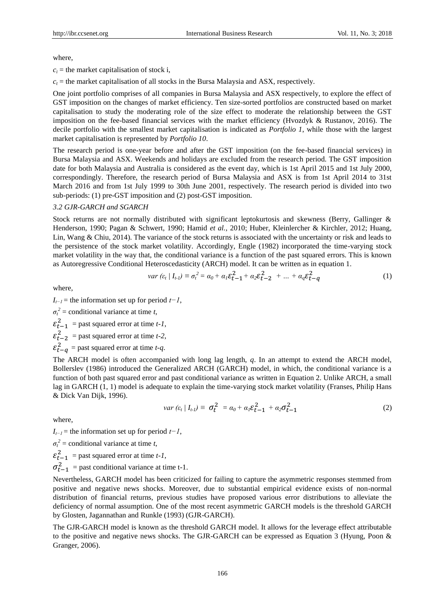where,

 $c_i$  = the market capitalisation of stock i,

 $c<sub>t</sub>$  = the market capitalisation of all stocks in the Bursa Malaysia and ASX, respectively.

One joint portfolio comprises of all companies in Bursa Malaysia and ASX respectively, to explore the effect of GST imposition on the changes of market efficiency. Ten size-sorted portfolios are constructed based on market capitalisation to study the moderating role of the size effect to moderate the relationship between the GST imposition on the fee-based financial services with the market efficiency (Hvozdyk & Rustanov, 2016). The decile portfolio with the smallest market capitalisation is indicated as *Portfolio 1*, while those with the largest market capitalisation is represented by *Portfolio 10*.

The research period is one-year before and after the GST imposition (on the fee-based financial services) in Bursa Malaysia and ASX. Weekends and holidays are excluded from the research period. The GST imposition date for both Malaysia and Australia is considered as the event day, which is 1st April 2015 and 1st July 2000, correspondingly. Therefore, the research period of Bursa Malaysia and ASX is from 1st April 2014 to 31st March 2016 and from 1st July 1999 to 30th June 2001, respectively. The research period is divided into two sub-periods: (1) pre-GST imposition and (2) post-GST imposition.

#### *3.2 GJR-GARCH and SGARCH*

Stock returns are not normally distributed with significant leptokurtosis and skewness (Berry, Gallinger & Henderson, 1990; Pagan & Schwert, 1990; Hamid *et al.*, 2010; Huber, Kleinlercher & Kirchler, 2012; Huang, Lin, Wang & Chiu, 2014). The variance of the stock returns is associated with the uncertainty or risk and leads to the persistence of the stock market volatility. Accordingly, Engle (1982) incorporated the time-varying stock market volatility in the way that, the conditional variance is a function of the past squared errors. This is known as Autoregressive Conditional Heteroscedasticity (ARCH) model. It can be written as in equation 1.

$$
var\left(\varepsilon_{t}\middle|I_{t-1}\right) \equiv \sigma_{t}^{2} = \alpha_{0} + \alpha_{1}\varepsilon_{t-1}^{2} + \alpha_{2}\varepsilon_{t-2}^{2} + ... + \alpha_{q}\varepsilon_{t-q}^{2}
$$
\n(1)

where,

*I*<sub>t−1</sub> = the information set up for period *t*−*1*,  $\sigma_t^2$  = conditional variance at time *t*,  $\varepsilon_{t-1}^2$  = past squared error at time *t*-1,

 $\varepsilon_{t-2}^2$  = past squared error at time *t*-2,

 $\varepsilon_{t-q}^2$  = past squared error at time *t*-*q*.

The ARCH model is often accompanied with long lag length, *q*. In an attempt to extend the ARCH model, Bollerslev (1986) introduced the Generalized ARCH (GARCH) model, in which, the conditional variance is a function of both past squared error and past conditional variance as written in Equation 2. Unlike ARCH, a small lag in GARCH (1, 1) model is adequate to explain the time-varying stock market volatility (Franses, Philip Hans & Dick Van Dijk, 1996).

$$
var\left(\varepsilon_{t}\,|\,I_{t\text{-}1}\right) \equiv \sigma_{t}^{2} = \alpha_{0} + \alpha_{1}\varepsilon_{t-1}^{2} + \alpha_{2}\sigma_{t-1}^{2} \tag{2}
$$

where,

*I*<sub>*t−1*</sub> = the information set up for period *t−1*,

 $\sigma_t^2$  = conditional variance at time *t*,

 $\varepsilon_{t-1}^2$  = past squared error at time *t*-1,

 $\sigma_{t-1}^2$  = past conditional variance at time t-1.

Nevertheless, GARCH model has been criticized for failing to capture the asymmetric responses stemmed from positive and negative news shocks. Moreover, due to substantial empirical evidence exists of non-normal distribution of financial returns, previous studies have proposed various error distributions to alleviate the deficiency of normal assumption. One of the most recent asymmetric GARCH models is the threshold GARCH by Glosten, Jagannathan and Runkle (1993) (GJR-GARCH).

The GJR-GARCH model is known as the threshold GARCH model. It allows for the leverage effect attributable to the positive and negative news shocks. The GJR-GARCH can be expressed as Equation 3 (Hyung, Poon & Granger, 2006).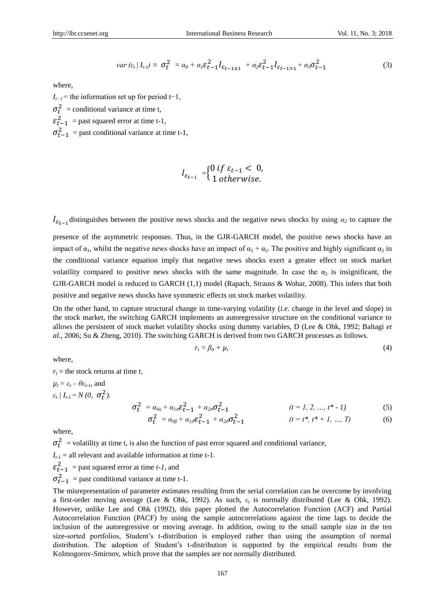$$
var\left(\varepsilon_{t}/I_{t-1}\right) \equiv \sigma_{t}^{2} = \alpha_{0} + \alpha_{1}\varepsilon_{t-1}^{2}I_{\varepsilon_{t-1}\leq 1} + \alpha_{2}\varepsilon_{t-1}^{2}I_{\varepsilon_{t-1}>1} + \alpha_{3}\sigma_{t-1}^{2}
$$
\n(3)

where,

 $I_{t-1}$  = the information set up for period t−1,  $\sigma_t^2$  = conditional variance at time t,  $\varepsilon_{t-1}^2$  = past squared error at time t-1,  $\sigma_{t-1}^2$  = past conditional variance at time t-1,

$$
I_{\varepsilon_{t-1}} = \begin{cases} 0 \text{ if } \varepsilon_{t-1} < 0, \\ 1 \text{ otherwise.} \end{cases}
$$

 $I_{\varepsilon_{t-1}}$  distinguishes between the positive news shocks and the negative news shocks by using  $\alpha_2$  to capture the

presence of the asymmetric responses. Thus, in the GJR-GARCH model, the positive news shocks have an impact of  $\alpha_1$ , whilst the negative news shocks have an impact of  $\alpha_1 + \alpha_2$ . The positive and highly significant  $\alpha_2$  in the conditional variance equation imply that negative news shocks exert a greater effect on stock market volatility compared to positive news shocks with the same magnitude. In case the  $\alpha_2$  is insignificant, the GJR-GARCH model is reduced to GARCH (1,1) model (Rapach, Strauss & Wohar, 2008). This infers that both positive and negative news shocks have symmetric effects on stock market volatility.

On the other hand, to capture structural change in time-varying volatility (*i.e.* change in the level and slope) in the stock market, the switching GARCH implements an autoregressive structure on the conditional variance to allows the persistent of stock market volatility shocks using dummy variables, D (Lee & Ohk, 1992; Baltagi *et al.*, 2006; Su & Zheng, 2010). The switching GARCH is derived from two GARCH processes as follows.

$$
r_t = \beta_0 + \mu_t \tag{4}
$$

where,

 $r<sub>t</sub>$  = the stock returns at time *t*,

$$
\mu_t = \varepsilon_t - \theta \varepsilon_{t-1}, \text{ and}
$$
  
\n
$$
\varepsilon_t / I_{t-1} \sim N(0, \sigma_t^2).
$$
  
\n
$$
\sigma_t^2 = \alpha_{0\alpha} + \alpha_{1\alpha} \varepsilon_{t-1}^2 + \alpha_{2\alpha} \sigma_{t-1}^2
$$
  
\n
$$
(t = 1, 2, ..., t^* - 1)
$$
 (5)

$$
-\alpha_{0\alpha} + \alpha_{1\alpha}c_{t-1} + \alpha_{2\alpha}c_{t-1}
$$
\n
$$
\sigma_t^2 = \alpha_{0\beta} + \alpha_{1\beta}c_{t-1}^2 + \alpha_{2\beta}\sigma_{t-1}^2
$$
\n
$$
(t - 1, 2, ..., t - 1)
$$
\n(3)

where,

 $\sigma_t^2$  = volatility at time t, is also the function of past error squared and conditional variance,

 $I_{t-1}$  = all relevant and available information at time t-1.

- $\varepsilon_{t-1}^2$  = past squared error at time *t-1*, and
- $\sigma_{t-1}^2$  = past conditional variance at time t-1.

The misrepresentation of parameter estimates resulting from the serial correlation can be overcome by involving a first-order moving average (Lee & Ohk, 1992). As such, *ε<sup>t</sup>* is normally distributed (Lee & Ohk, 1992). However, unlike Lee and Ohk (1992), this paper plotted the Autocorrelation Function (ACF) and Partial Autocorrelation Function (PACF) by using the sample autocorrelations against the time lags to decide the inclusion of the autoregressive or moving average. In addition, owing to the small sample size in the ten size-sorted portfolios, Student's t-distribution is employed rather than using the assumption of normal distribution. The adoption of Student's t-distribution is supported by the empirical results from the Kolmogorov-Smirnov, which prove that the samples are not normally distributed.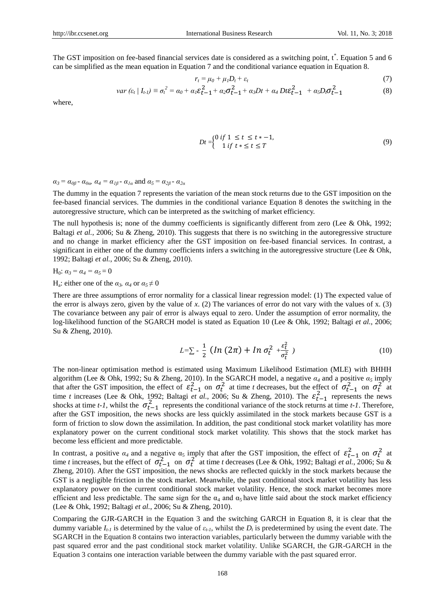The GST imposition on fee-based financial services date is considered as a switching point,  $t^*$ . Equation 5 and 6 can be simplified as the mean equation in Equation 7 and the conditional variance equation in Equation 8.

$$
r_t = \mu_0 + \mu_1 D_t + \varepsilon_t \tag{7}
$$

$$
var\left(\varepsilon_{t}\middle|I_{t-1}\right) \equiv \sigma_{t}^{2} = \alpha_{0} + \alpha_{1}\varepsilon_{t-1}^{2} + \alpha_{2}\sigma_{t-1}^{2} + \alpha_{3}Dt + \alpha_{4}Dt\varepsilon_{t-1}^{2} + \alpha_{5}D_{t}\sigma_{t-1}^{2}
$$
\n(8)

where,

$$
Dt = \begin{cases} 0 \text{ if } 1 \le t \le t * - 1, \\ 1 \text{ if } t * \le t \le T \end{cases}
$$
 (9)

 $\alpha_3 = \alpha_{0\beta} - \alpha_{0\alpha}$ ,  $\alpha_4 = \alpha_{1\beta} - \alpha_{1\alpha}$  and  $\alpha_5 = \alpha_{2\beta} - \alpha_{2\alpha}$ 

The dummy in the equation 7 represents the variation of the mean stock returns due to the GST imposition on the fee-based financial services. The dummies in the conditional variance Equation 8 denotes the switching in the autoregressive structure, which can be interpreted as the switching of market efficiency.

The null hypothesis is; none of the dummy coefficients is significantly different from zero (Lee & Ohk, 1992; Baltagi *et al.*, 2006; Su & Zheng, 2010). This suggests that there is no switching in the autoregressive structure and no change in market efficiency after the GST imposition on fee-based financial services. In contrast, a significant in either one of the dummy coefficients infers a switching in the autoregressive structure (Lee  $\&$  Ohk, 1992; Baltagi *et al.*, 2006; Su & Zheng, 2010).

$$
H_0: \alpha_3 = \alpha_4 = \alpha_5 = 0
$$

H<sub>a</sub>: either one of the  $\alpha_3$ ,  $\alpha_4$  or  $\alpha_5 \neq 0$ 

There are three assumptions of error normality for a classical linear regression model: (1) The expected value of the error is always zero, given by the value of *x*. (2) The variances of error do not vary with the values of x. (3) The covariance between any pair of error is always equal to zero. Under the assumption of error normality, the log-likelihood function of the SGARCH model is stated as Equation 10 (Lee & Ohk, 1992; Baltagi *et al.*, 2006; Su & Zheng, 2010).

$$
L = \sum_{i} \frac{1}{2} \left( \ln \left( 2\pi \right) + \ln \sigma_t^2 + \frac{\varepsilon_t^2}{\sigma_t^2} \right) \tag{10}
$$

The non-linear optimisation method is estimated using Maximum Likelihood Estimation (MLE) with BHHH algorithm (Lee & Ohk, 1992; Su & Zheng, 2010). In the SGARCH model, a negative *α<sup>4</sup>* and a positive *α<sup>5</sup>* imply that after the GST imposition, the effect of  $\varepsilon_{t-1}^2$  on  $\sigma_t^2$  at time *t* decreases, but the effect of  $\sigma_{t-1}^2$  on  $\sigma_t^2$  at time *t* increases (Lee & Ohk, 1992; Baltagi *et al.*, 2006; Su & Zheng, 2010). The  $\varepsilon_{t-1}^2$  represents the news shocks at time *t-1*, whilst the  $\sigma_{t-1}^2$  represents the conditional variance of the stock returns at time *t-1*. Therefore, after the GST imposition, the news shocks are less quickly assimilated in the stock markets because GST is a form of friction to slow down the assimilation. In addition, the past conditional stock market volatility has more explanatory power on the current conditional stock market volatility. This shows that the stock market has become less efficient and more predictable.

In contrast, a positive  $\alpha_4$  and a negative  $\alpha_5$  imply that after the GST imposition, the effect of  $\varepsilon_{t-1}^2$  on  $\sigma_t^2$  at time *t* increases, but the effect of  $\sigma_{t-1}^2$  on  $\sigma_t^2$  at time *t* decreases (Lee & Ohk, 1992; Baltagi *et al.*, 2006; Su & Zheng, 2010). After the GST imposition, the news shocks are reflected quickly in the stock markets because the GST is a negligible friction in the stock market. Meanwhile, the past conditional stock market volatility has less explanatory power on the current conditional stock market volatility. Hence, the stock market becomes more efficient and less predictable. The same sign for the  $\alpha_4$  and  $\alpha_5$  have little said about the stock market efficiency (Lee & Ohk, 1992; Baltagi *et al.*, 2006; Su & Zheng, 2010).

Comparing the GJR-GARCH in the Equation 3 and the switching GARCH in Equation 8, it is clear that the dummy variable  $I_{t-1}$  is determined by the value of  $\varepsilon_{t-1}$ , whilst the  $D_t$  is predetermined by using the event date. The SGARCH in the Equation 8 contains two interaction variables, particularly between the dummy variable with the past squared error and the past conditional stock market volatility. Unlike SGARCH, the GJR-GARCH in the Equation 3 contains one interaction variable between the dummy variable with the past squared error.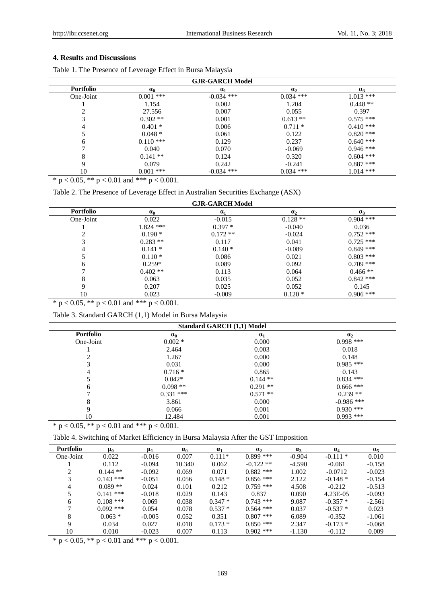## **4. Results and Discussions**

| <b>GJR-GARCH Model</b> |             |              |                |             |
|------------------------|-------------|--------------|----------------|-------------|
| <b>Portfolio</b>       | $\alpha_0$  | $\alpha_1$   | $\mathbf{a}_2$ | $a_3$       |
| One-Joint              | $0.001$ *** | $-0.034$ *** | $0.034$ ***    | $1.013$ *** |
|                        | 1.154       | 0.002        | 1.204          | $0.448**$   |
|                        | 27.556      | 0.007        | 0.055          | 0.397       |
| 3                      | $0.302**$   | 0.001        | $0.613**$      | $0.575$ *** |
| 4                      | $0.401*$    | 0.006        | $0.711*$       | $0.410$ *** |
|                        | $0.048*$    | 0.061        | 0.122          | $0.820$ *** |
| 6                      | $0.110$ *** | 0.129        | 0.237          | $0.640$ *** |
|                        | 0.040       | 0.070        | $-0.069$       | $0.946$ *** |
| 8                      | $0.141**$   | 0.124        | 0.320          | $0.604$ *** |
| 9                      | 0.079       | 0.242        | $-0.241$       | $0.887$ *** |
| 10                     | $0.001$ *** | $-0.034$ *** | $0.034$ ***    | $1.014$ *** |

Table 1. The Presence of Leverage Effect in Bursa Malaysia

\* p < 0.05, \*\* p < 0.01 and \*\*\* p < 0.001.

## Table 2. The Presence of Leverage Effect in Australian Securities Exchange (ASX)

|           |             | <b>GJR-GARCH Model</b> |           |             |
|-----------|-------------|------------------------|-----------|-------------|
| Portfolio | $a_0$       | a <sub>1</sub>         | $a_2$     | $a_3$       |
| One-Joint | 0.022       | $-0.015$               | $0.128**$ | $0.904$ *** |
|           | $1.824$ *** | $0.397*$               | $-0.040$  | 0.036       |
|           | $0.190*$    | $0.172**$              | $-0.024$  | $0.752$ *** |
|           | $0.283$ **  | 0.117                  | 0.041     | $0.725$ *** |
| 4         | $0.141*$    | $0.140*$               | $-0.089$  | $0.849$ *** |
|           | $0.110*$    | 0.086                  | 0.021     | $0.803$ *** |
| 6         | $0.259*$    | 0.089                  | 0.092     | $0.709$ *** |
|           | $0.402$ **  | 0.113                  | 0.064     | $0.466**$   |
| 8         | 0.063       | 0.035                  | 0.052     | $0.842$ *** |
| 9         | 0.207       | 0.025                  | 0.052     | 0.145       |
| 10        | 0.023       | $-0.009$               | $0.120*$  | $0.906$ *** |

\*  $p < 0.05$ , \*\*  $p < 0.01$  and \*\*\*  $p < 0.001$ .

Table 3. Standard GARCH (1,1) Model in Bursa Malaysia

|           | <b>Standard GARCH (1,1) Model</b> |            |                |  |  |
|-----------|-----------------------------------|------------|----------------|--|--|
| Portfolio | $\alpha_0$                        | $a_1$      | a <sub>2</sub> |  |  |
| One-Joint | $0.002 *$                         | 0.000      | $0.998$ ***    |  |  |
|           | 2.464                             | 0.003      | 0.018          |  |  |
|           | 1.267                             | 0.000      | 0.148          |  |  |
| 3         | 0.031                             | 0.000      | $0.985$ ***    |  |  |
| 4         | $0.716*$                          | 0.865      | 0.143          |  |  |
|           | $0.042*$                          | $0.144$ ** | $0.834$ ***    |  |  |
| 6         | $0.098**$                         | $0.291**$  | $0.666$ ***    |  |  |
|           | $0.331$ ***                       | $0.571$ ** | $0.239**$      |  |  |
| 8         | 3.861                             | 0.000      | $-0.986$ ***   |  |  |
| 9         | 0.066                             | 0.001      | $0.930$ ***    |  |  |
| 10        | 12.484                            | 0.001      | $0.993$ ***    |  |  |

\*  $p < 0.05$ , \*\*  $p < 0.01$  and \*\*\*  $p < 0.001$ .

Table 4. Switching of Market Efficiency in Bursa Malaysia After the GST Imposition

| <b>Portfolio</b> | $\mu_0$     | $\mu_1$  | $a_0$  | $\alpha_1$ | $a_2$       | $a_3$    | $\mathbf{a}_4$ | $a_{5}$  |
|------------------|-------------|----------|--------|------------|-------------|----------|----------------|----------|
| One-Joint        | 0.022       | $-0.016$ | 0.007  | $0.111*$   | $0.899$ *** | $-0.904$ | $-0.111*$      | 0.010    |
|                  | 0.112       | $-0.094$ | 10.340 | 0.062      | $-0.122**$  | $-4.590$ | $-0.061$       | $-0.158$ |
| 2                | $0.144$ **  | $-0.092$ | 0.069  | 0.071      | $0.882$ *** | 1.002    | $-0.0712$      | $-0.023$ |
| 3                | $0.143$ *** | $-0.051$ | 0.056  | $0.148*$   | $0.856***$  | 2.122    | $-0.148*$      | $-0.154$ |
| 4                | $0.089**$   | 0.024    | 0.101  | 0.212      | $0.759$ *** | 4.508    | $-0.212$       | $-0.513$ |
|                  | $0.141$ *** | $-0.018$ | 0.029  | 0.143      | 0.837       | 0.090    | 4.23E-05       | $-0.093$ |
| 6                | $0.108$ *** | 0.069    | 0.038  | $0.347*$   | $0.743$ *** | 9.087    | $-0.357*$      | $-2.561$ |
| 7                | $0.092$ *** | 0.054    | 0.078  | $0.537*$   | $0.564$ *** | 0.037    | $-0.537*$      | 0.023    |
| 8                | $0.063*$    | $-0.005$ | 0.052  | 0.351      | $0.807$ *** | 6.089    | $-0.352$       | $-1.061$ |
| 9                | 0.034       | 0.027    | 0.018  | $0.173*$   | $0.850$ *** | 2.347    | $-0.173*$      | $-0.068$ |
| 10               | 0.010       | $-0.023$ | 0.007  | 0.113      | $0.902$ *** | $-1.130$ | $-0.112$       | 0.009    |

\*  $p < 0.05$ , \*\*  $p < 0.01$  and \*\*\*  $p < 0.001$ .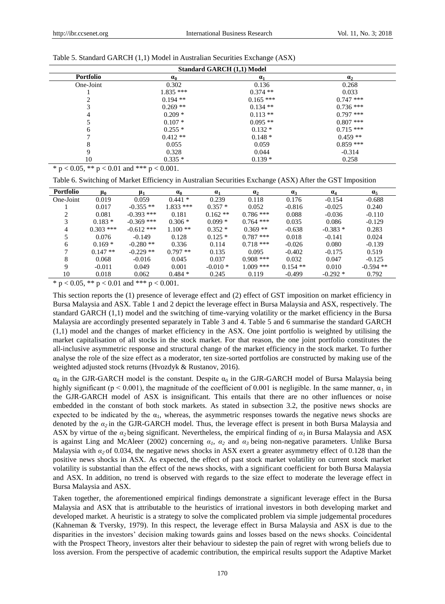| <b>Standard GARCH (1,1) Model</b> |            |             |                |  |
|-----------------------------------|------------|-------------|----------------|--|
| Portfolio                         | $a_0$      | $a_{1}$     | $\mathbf{a}_2$ |  |
| One-Joint                         | 0.302      | 0.136       | 0.268          |  |
|                                   | $1.835***$ | $0.374$ **  | 0.033          |  |
| ◠                                 | $0.194$ ** | $0.165$ *** | $0.747$ ***    |  |
| 3                                 | $0.269**$  | $0.134**$   | $0.736$ ***    |  |
| $\overline{4}$                    | $0.209*$   | $0.113**$   | $0.797$ ***    |  |
| 5                                 | $0.107*$   | $0.095$ **  | $0.807$ ***    |  |
| 6                                 | $0.255*$   | $0.132*$    | $0.715$ ***    |  |
|                                   | $0.412**$  | $0.148*$    | $0.459**$      |  |
| 8                                 | 0.055      | 0.059       | $0.859$ ***    |  |
| 9                                 | 0.328      | 0.044       | $-0.314$       |  |
| 10                                | $0.335*$   | $0.139*$    | 0.258          |  |

Table 5. Standard GARCH (1,1) Model in Australian Securities Exchange (ASX)

\*  $p < 0.05$ , \*\*  $p < 0.01$  and \*\*\*  $p < 0.001$ .

Table 6. Switching of Market Efficiency in Australian Securities Exchange (ASX) After the GST Imposition

| Portfolio | $\mu_0$     | $\mu_1$      | $a_0$      | $a_1$     | $a_2$       | $a_3$      | $a_4$     | $a_{5}$     |
|-----------|-------------|--------------|------------|-----------|-------------|------------|-----------|-------------|
| One-Joint | 0.019       | 0.059        | $0.441*$   | 0.239     | 0.118       | 0.176      | $-0.154$  | $-0.688$    |
|           | 0.017       | $-0.355$ **  | $1.833***$ | $0.357*$  | 0.052       | $-0.816$   | $-0.025$  | 0.240       |
|           | 0.081       | $-0.393$ *** | 0.181      | $0.162**$ | $0.786$ *** | 0.088      | $-0.036$  | $-0.110$    |
| 3         | $0.183*$    | $-0.369$ *** | $0.306*$   | $0.099*$  | $0.764$ *** | 0.035      | 0.086     | $-0.129$    |
| 4         | $0.303$ *** | $-0.612$ *** | $1.100**$  | $0.352*$  | $0.369**$   | $-0.638$   | $-0.383*$ | 0.283       |
|           | 0.076       | $-0.149$     | 0.128      | $0.125*$  | $0.787$ *** | 0.018      | $-0.141$  | 0.024       |
| 6         | $0.169*$    | $-0.280**$   | 0.336      | 0.114     | $0.718$ *** | $-0.026$   | 0.080     | $-0.139$    |
|           | $0.147**$   | $-0.229$ **  | $0.797**$  | 0.135     | 0.095       | $-0.402$   | $-0.175$  | 0.519       |
| 8         | 0.068       | $-0.016$     | 0.045      | 0.037     | $0.908$ *** | 0.032      | 0.047     | $-0.125$    |
| 9         | $-0.011$    | 0.049        | 0.001      | $-0.010*$ | $1.009$ *** | $0.154$ ** | 0.010     | $-0.594$ ** |
| 10        | 0.018       | 0.062        | $0.484*$   | 0.245     | 0.119       | $-0.499$   | $-0.292*$ | 0.792       |

\*  $p < 0.05$ , \*\*  $p < 0.01$  and \*\*\*  $p < 0.001$ .

This section reports the (1) presence of leverage effect and (2) effect of GST imposition on market efficiency in Bursa Malaysia and ASX. Table 1 and 2 depict the leverage effect in Bursa Malaysia and ASX, respectively. The standard GARCH (1,1) model and the switching of time-varying volatility or the market efficiency in the Bursa Malaysia are accordingly presented separately in Table 3 and 4. Table 5 and 6 summarise the standard GARCH (1,1) model and the changes of market efficiency in the ASX. One joint portfolio is weighted by utilising the market capitalisation of all stocks in the stock market. For that reason, the one joint portfolio constitutes the all-inclusive asymmetric response and structural change of the market efficiency in the stock market. To further analyse the role of the size effect as a moderator, ten size-sorted portfolios are constructed by making use of the weighted adjusted stock returns (Hvozdyk & Rustanov, 2016).

 $\alpha_0$  in the GJR-GARCH model is the constant. Despite  $\alpha_0$  in the GJR-GARCH model of Bursa Malaysia being highly significant (p < 0.001), the magnitude of the coefficient of 0.001 is negligible. In the same manner,  $\alpha_1$  in the GJR-GARCH model of ASX is insignificant. This entails that there are no other influences or noise embedded in the constant of both stock markets. As stated in subsection 3.2, the positive news shocks are expected to be indicated by the  $\alpha_1$ , whereas, the asymmetric responses towards the negative news shocks are denoted by the *α<sup>2</sup>* in the GJR-GARCH model. Thus, the leverage effect is present in both Bursa Malaysia and ASX by virtue of the  $\alpha_2$  being significant. Nevertheless, the empirical finding of  $\alpha_1$  in Bursa Malaysia and ASX is against Ling and McAleer (2002) concerning  $\alpha_1$ ,  $\alpha_2$  and  $\alpha_3$  being non-negative parameters. Unlike Bursa Malaysia with *α<sup>2</sup>* of 0.034, the negative news shocks in ASX exert a greater asymmetry effect of 0.128 than the positive news shocks in ASX. As expected, the effect of past stock market volatility on current stock market volatility is substantial than the effect of the news shocks, with a significant coefficient for both Bursa Malaysia and ASX. In addition, no trend is observed with regards to the size effect to moderate the leverage effect in Bursa Malaysia and ASX.

Taken together, the aforementioned empirical findings demonstrate a significant leverage effect in the Bursa Malaysia and ASX that is attributable to the heuristics of irrational investors in both developing market and developed market. A heuristic is a strategy to solve the complicated problem via simple judgemental procedures (Kahneman & Tversky, 1979). In this respect, the leverage effect in Bursa Malaysia and ASX is due to the disparities in the investors' decision making towards gains and losses based on the news shocks. Coincidental with the Prospect Theory, investors alter their behaviour to sidestep the pain of regret with wrong beliefs due to loss aversion. From the perspective of academic contribution, the empirical results support the Adaptive Market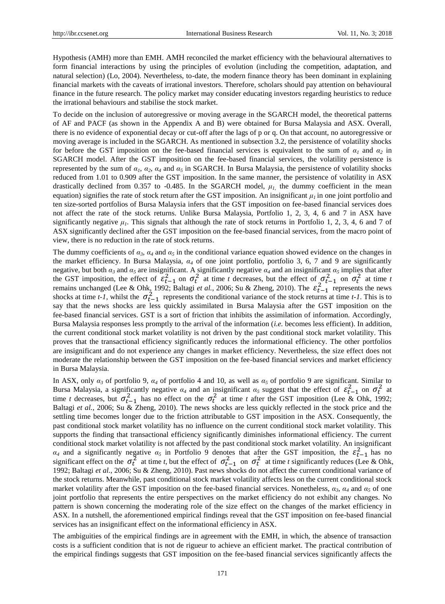Hypothesis (AMH) more than EMH. AMH reconciled the market efficiency with the behavioural alternatives to form financial interactions by using the principles of evolution (including the competition, adaptation, and natural selection) (Lo, 2004). Nevertheless, to-date, the modern finance theory has been dominant in explaining financial markets with the caveats of irrational investors. Therefore, scholars should pay attention on behavioural finance in the future research. The policy market may consider educating investors regarding heuristics to reduce the irrational behaviours and stabilise the stock market.

To decide on the inclusion of autoregressive or moving average in the SGARCH model, the theoretical patterns of AF and PACF (as shown in the Appendix A and B) were obtained for Bursa Malaysia and ASX. Overall, there is no evidence of exponential decay or cut-off after the lags of p or q. On that account, no autoregressive or moving average is included in the SGARCH. As mentioned in subsection 3.2, the persistence of volatility shocks for before the GST imposition on the fee-based financial services is equivalent to the sum of  $\alpha_1$  and  $\alpha_2$  in SGARCH model. After the GST imposition on the fee-based financial services, the volatility persistence is represented by the sum of  $\alpha_1$ ,  $\alpha_2$ ,  $\alpha_4$  and  $\alpha_5$  in SGARCH. In Bursa Malaysia, the persistence of volatility shocks reduced from 1.01 to 0.909 after the GST imposition. In the same manner, the persistence of volatility in ASX drastically declined from 0.357 to -0.485. In the SGARCH model,  $\mu_l$  the dummy coefficient in the mean equation) signifies the rate of stock return after the GST imposition. An insignificant  $\mu_l$  in one joint portfolio and ten size-sorted portfolios of Bursa Malaysia infers that the GST imposition on fee-based financial services does not affect the rate of the stock returns. Unlike Bursa Malaysia, Portfolio 1, 2, 3, 4, 6 and 7 in ASX have significantly negative  $\mu_l$ . This signals that although the rate of stock returns in Portfolio 1, 2, 3, 4, 6 and 7 of ASX significantly declined after the GST imposition on the fee-based financial services, from the macro point of view, there is no reduction in the rate of stock returns.

The dummy coefficients of  $\alpha_3$ ,  $\alpha_4$  and  $\alpha_5$  in the conditional variance equation showed evidence on the changes in the market efficiency. In Bursa Malaysia, *α<sup>4</sup>* of one joint portfolio, portfolio 3, 6, 7 and 9 are significantly negative, but both  $\alpha_3$  and  $\alpha_5$  are insignificant. A significantly negative  $\alpha_4$  and an insignificant  $\alpha_5$  implies that after the GST imposition, the effect of  $\epsilon_{t-1}^2$  on  $\sigma_t^2$  at time *t* decreases, but the effect of  $\sigma_{t-1}^2$  on  $\sigma_t^2$  at time *t* remains unchanged (Lee & Ohk, 1992; Baltagi *et al.*, 2006; Su & Zheng, 2010). The  $\varepsilon_{t-1}^2$  represents the news shocks at time *t-1*, whilst the  $\sigma_{t-1}^2$  represents the conditional variance of the stock returns at time *t-1*. This is to say that the news shocks are less quickly assimilated in Bursa Malaysia after the GST imposition on the fee-based financial services. GST is a sort of friction that inhibits the assimilation of information. Accordingly, Bursa Malaysia responses less promptly to the arrival of the information (*i.e.* becomes less efficient). In addition, the current conditional stock market volatility is not driven by the past conditional stock market volatility. This proves that the transactional efficiency significantly reduces the informational efficiency. The other portfolios are insignificant and do not experience any changes in market efficiency. Nevertheless, the size effect does not moderate the relationship between the GST imposition on the fee-based financial services and market efficiency in Bursa Malaysia.

In ASX, only  $\alpha_3$  of portfolio 9,  $\alpha_4$  of portfolio 4 and 10, as well as  $\alpha_5$  of portfolio 9 are significant. Similar to Bursa Malaysia, a significantly negative  $\alpha_4$  and an insignificant  $\alpha_5$  suggest that the effect of  $\varepsilon_{t-1}^2$  on  $\sigma_t^2$  at time *t* decreases, but  $\sigma_{t-1}^2$  has no effect on the  $\sigma_t^2$  at time *t* after the GST imposition (Lee & Ohk, 1992; Baltagi *et al.*, 2006; Su & Zheng, 2010). The news shocks are less quickly reflected in the stock price and the settling time becomes longer due to the friction attributable to GST imposition in the ASX. Consequently, the past conditional stock market volatility has no influence on the current conditional stock market volatility. This supports the finding that transactional efficiency significantly diminishes informational efficiency. The current conditional stock market volatility is not affected by the past conditional stock market volatility. An insignificant  $\alpha_4$  and a significantly negative  $\alpha_5$  in Portfolio 9 denotes that after the GST imposition, the  $\varepsilon_{t-1}^2$  has no significant effect on the  $\sigma_t^2$  at time *t*, but the effect of  $\sigma_{t-1}^2$  on  $\sigma_t^2$  at time *t* significantly reduces (Lee & Ohk, 1992; Baltagi *et al.*, 2006; Su & Zheng, 2010). Past news shocks do not affect the current conditional variance of the stock returns. Meanwhile, past conditional stock market volatility affects less on the current conditional stock market volatility after the GST imposition on the fee-based financial services. Nonetheless,  $\alpha_3$ ,  $\alpha_4$  and  $\alpha_5$  of one joint portfolio that represents the entire perspectives on the market efficiency do not exhibit any changes. No pattern is shown concerning the moderating role of the size effect on the changes of the market efficiency in ASX. In a nutshell, the aforementioned empirical findings reveal that the GST imposition on fee-based financial services has an insignificant effect on the informational efficiency in ASX.

The ambiguities of the empirical findings are in agreement with the EMH, in which, the absence of transaction costs is a sufficient condition that is not de rigueur to achieve an efficient market. The practical contribution of the empirical findings suggests that GST imposition on the fee-based financial services significantly affects the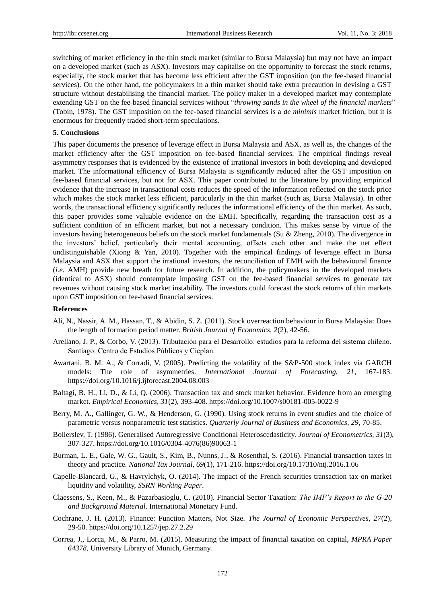switching of market efficiency in the thin stock market (similar to Bursa Malaysia) but may not have an impact on a developed market (such as ASX). Investors may capitalise on the opportunity to forecast the stock returns, especially, the stock market that has become less efficient after the GST imposition (on the fee-based financial services). On the other hand, the policymakers in a thin market should take extra precaution in devising a GST structure without destabilising the financial market. The policy maker in a developed market may contemplate extending GST on the fee-based financial services without "*throwing sands in the wheel of the financial markets*" (Tobin, 1978). The GST imposition on the fee-based financial services is a *de minimis* market friction, but it is enormous for frequently traded short-term speculations.

#### **5. Conclusions**

This paper documents the presence of leverage effect in Bursa Malaysia and ASX, as well as, the changes of the market efficiency after the GST imposition on fee-based financial services. The empirical findings reveal asymmetry responses that is evidenced by the existence of irrational investors in both developing and developed market. The informational efficiency of Bursa Malaysia is significantly reduced after the GST imposition on fee-based financial services, but not for ASX. This paper contributed to the literature by providing empirical evidence that the increase in transactional costs reduces the speed of the information reflected on the stock price which makes the stock market less efficient, particularly in the thin market (such as, Bursa Malaysia). In other words, the transactional efficiency significantly reduces the informational efficiency of the thin market. As such, this paper provides some valuable evidence on the EMH. Specifically, regarding the transaction cost as a sufficient condition of an efficient market, but not a necessary condition. This makes sense by virtue of the investors having heterogeneous beliefs on the stock market fundamentals (Su & Zheng, 2010). The divergence in the investors' belief, particularly their mental accounting, offsets each other and make the net effect undistinguishable (Xiong  $\&$  Yan, 2010). Together with the empirical findings of leverage effect in Bursa Malaysia and ASX that support the irrational investors, the reconciliation of EMH with the behavioural finance (*i.e.* AMH) provide new breath for future research. In addition, the policymakers in the developed markets (identical to ASX) should contemplate imposing GST on the fee-based financial services to generate tax revenues without causing stock market instability. The investors could forecast the stock returns of thin markets upon GST imposition on fee-based financial services.

#### **References**

- Ali, N., Nassir, A. M., Hassan, T., & Abidin, S. Z. (2011). Stock overreaction behaviour in Bursa Malaysia: Does the length of formation period matter. *British Journal of Economics, 2*(2), 42-56.
- Arellano, J. P., & Corbo, V. (2013). Tributación para el Desarrollo: estudios para la reforma del sistema chileno. Santiago: Centro de Estudios Públicos y Cieplan.
- Awartani, B. M. A., & Corradi, V. (2005). Predicting the volatility of the S&P-500 stock index via GARCH models: The role of asymmetries. *International Journal of Forecasting, 21*, 167-183. https://doi.org/10.1016/j.ijforecast.2004.08.003
- Baltagi, B. H., Li, D., & Li, Q. (2006). Transaction tax and stock market behavior: Evidence from an emerging market. *Empirical Economics, 31*(2), 393-408. https://doi.org/10.1007/s00181-005-0022-9
- Berry, M. A., Gallinger, G. W., & Henderson, G. (1990). Using stock returns in event studies and the choice of parametric versus nonparametric test statistics. *Quarterly Journal of Business and Economics, 29*, 70-85.
- Bollerslev, T. (1986). Generalised Autoregressive Conditional Heteroscedasticity. *Journal of Econometrics, 31*(3), 307-327. https://doi.org/10.1016/0304-4076(86)90063-1
- Burman, L. E., Gale, W. G., Gault, S., Kim, B., Nunns, J., & Rosenthal, S. (2016). Financial transaction taxes in theory and practice. *National Tax Journal, 69*(1), 171-216. https://doi.org/10.17310/ntj.2016.1.06
- Capelle-Blancard, G., & Havrylchyk, O. (2014). The impact of the French securities transaction tax on market liquidity and volatility, *SSRN Working Paper*.
- Claessens, S., Keen, M., & Pazarbasioglu, C. (2010). Financial Sector Taxation: *The IMF's Report to the G-20 and Background Material*. International Monetary Fund.
- Cochrane, J. H. (2013). Finance: Function Matters, Not Size. *The Journal of Economic Perspectives, 27*(2), 29-50. https://doi.org/10.1257/jep.27.2.29
- Correa, J., Lorca, M., & Parro, M. (2015). Measuring the impact of financial taxation on capital, *MPRA Paper 64378*, University Library of Munich, Germany.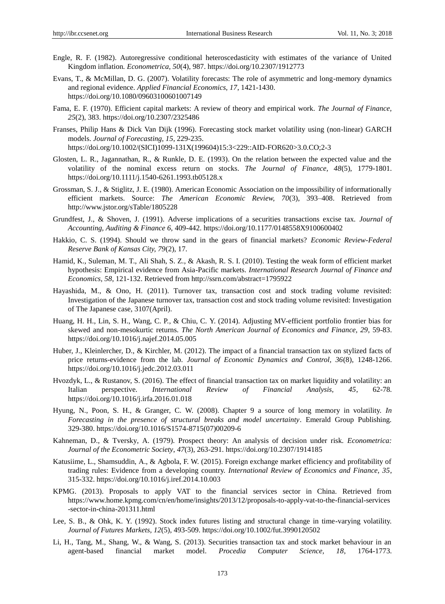- Engle, R. F. (1982). Autoregressive conditional heteroscedasticity with estimates of the variance of United Kingdom inflation*. Econometrica, 50*(4), 987. https://doi.org/10.2307/1912773
- Evans, T., & McMillan, D. G. (2007). Volatility forecasts: The role of asymmetric and long-memory dynamics and regional evidence. *Applied Financial Economics, 17*, 1421-1430. https://doi.org/10.1080/09603100601007149
- Fama, E. F. (1970). Efficient capital markets: A review of theory and empirical work. *The Journal of Finance, 25*(2), 383. https://doi.org/10.2307/2325486
- Franses, Philip Hans & Dick Van Dijk (1996). Forecasting stock market volatility using (non-linear) GARCH models. *Journal of Forecasting, 15*, 229-235. https://doi.org/10.1002/(SICI)1099-131X(199604)15:3<229::AID-FOR620>3.0.CO;2-3
- Glosten, L. R., Jagannathan, R., & Runkle, D. E. (1993). On the relation between the expected value and the volatility of the nominal excess return on stocks. *The Journal of Finance, 48*(5), 1779-1801. https://doi.org/10.1111/j.1540-6261.1993.tb05128.x
- Grossman, S. J., & Stiglitz, J. E. (1980). American Economic Association on the impossibility of informationally efficient markets. Source: *The American Economic Review, 70*(3), 393–408. Retrieved from http://www.jstor.org/sTable/1805228
- Grundfest, J., & Shoven, J. (1991). Adverse implications of a securities transactions excise tax. *Journal of Accounting, Auditing & Finance 6,* 409-442. https://doi.org/10.1177/0148558X9100600402
- Hakkio, C. S. (1994). Should we throw sand in the gears of financial markets? *Economic Review-Federal Reserve Bank of Kansas City, 79*(2), 17.
- Hamid, K., Suleman, M. T., Ali Shah, S. Z., & Akash, R. S. I. (2010). Testing the weak form of efficient market hypothesis: Empirical evidence from Asia-Pacific markets. *International Research Journal of Finance and Economics, 58*, 121-132. Retrieved from http://ssrn.com/abstract=1795922
- Hayashida, M., & Ono, H. (2011). Turnover tax, transaction cost and stock trading volume revisited: Investigation of the Japanese turnover tax, transaction cost and stock trading volume revisited: Investigation of The Japanese case, 3107(April).
- Huang, H. H., Lin, S. H., Wang, C. P., & Chiu, C. Y. (2014). Adjusting MV-efficient portfolio frontier bias for skewed and non-mesokurtic returns. *The North American Journal of Economics and Finance, 29*, 59-83. https://doi.org/10.1016/j.najef.2014.05.005
- Huber, J., Kleinlercher, D., & Kirchler, M. (2012). The impact of a financial transaction tax on stylized facts of price returns-evidence from the lab. *Journal of Economic Dynamics and Control, 36*(8), 1248-1266. https://doi.org/10.1016/j.jedc.2012.03.011
- Hvozdyk, L., & Rustanov, S. (2016). The effect of financial transaction tax on market liquidity and volatility: an Italian perspective. *International Review of Financial Analysis, 45*, 62-78. https://doi.org/10.1016/j.irfa.2016.01.018
- Hyung, N., Poon, S. H., & Granger, C. W. (2008). Chapter 9 a source of long memory in volatility. *In Forecasting in the presence of structural breaks and model uncertainty*. Emerald Group Publishing. 329-380. https://doi.org/10.1016/S1574-8715(07)00209-6
- Kahneman, D., & Tversky, A. (1979). Prospect theory: An analysis of decision under risk. *Econometrica: Journal of the Econometric Society*, *47*(3), 263-291. https://doi.org/10.2307/1914185
- Katusiime, L., Shamsuddin, A., & Agbola, F. W. (2015). Foreign exchange market efficiency and profitability of trading rules: Evidence from a developing country. *International Review of Economics and Finance, 35*, 315-332. https://doi.org/10.1016/j.iref.2014.10.003
- KPMG. (2013). Proposals to apply VAT to the financial services sector in China. Retrieved from https://www.home.kpmg.com/cn/en/home/insights/2013/12/proposals-to-apply-vat-to-the-financial-services -sector-in-china-201311.html
- Lee, S. B., & Ohk, K. Y. (1992). Stock index futures listing and structural change in time-varying volatility. *Journal of Futures Markets, 12*(5), 493-509. https://doi.org/10.1002/fut.3990120502
- Li, H., Tang, M., Shang, W., & Wang, S. (2013). Securities transaction tax and stock market behaviour in an agent-based financial market model. *Procedia Computer Science, 18*, 1764-1773.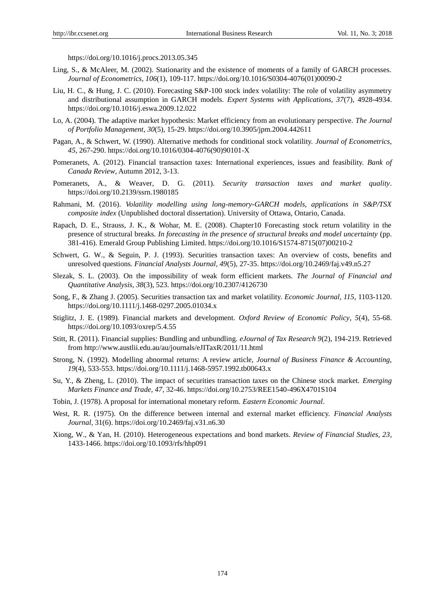https://doi.org/10.1016/j.procs.2013.05.345

- Ling, S., & McAleer, M. (2002). Stationarity and the existence of moments of a family of GARCH processes. *Journal of Econometrics, 106*(1), 109-117. https://doi.org/10.1016/S0304-4076(01)00090-2
- Liu, H. C., & Hung, J. C. (2010). Forecasting S&P-100 stock index volatility: The role of volatility asymmetry and distributional assumption in GARCH models. *Expert Systems with Applications, 37*(7), 4928-4934. https://doi.org/10.1016/j.eswa.2009.12.022
- Lo, A. (2004). The adaptive market hypothesis: Market efficiency from an evolutionary perspective. *The Journal of Portfolio Management*, *30*(5), 15-29. https://doi.org/10.3905/jpm.2004.442611
- Pagan, A., & Schwert, W. (1990). Alternative methods for conditional stock volatility. *Journal of Econometrics, 45*, 267-290. https://doi.org/10.1016/0304-4076(90)90101-X
- Pomeranets, A. (2012). Financial transaction taxes: International experiences, issues and feasibility. *Bank of Canada Review*, Autumn 2012, 3-13.
- Pomeranets, A., & Weaver, D. G. (2011). *Security transaction taxes and market quality*. https://doi.org/10.2139/ssrn.1980185
- Rahmani, M. (2016). *Volatility modelling using long-memory-GARCH models, applications in S&P/TSX composite index* (Unpublished doctoral dissertation). University of Ottawa, Ontario, Canada.
- Rapach, D. E., Strauss, J. K., & Wohar, M. E. (2008). Chapter10 Forecasting stock return volatility in the presence of structural breaks. *In forecasting in the presence of structural breaks and model uncertainty* (pp. 381-416). Emerald Group Publishing Limited. https://doi.org/10.1016/S1574-8715(07)00210-2
- Schwert, G. W., & Seguin, P. J. (1993). Securities transaction taxes: An overview of costs, benefits and unresolved questions. *Financial Analysts Journal, 49*(5), 27-35. https://doi.org/10.2469/faj.v49.n5.27
- Slezak, S. L. (2003). On the impossibility of weak form efficient markets. *The Journal of Financial and Quantitative Analysis, 38*(3), 523. https://doi.org/10.2307/4126730
- Song, F., & Zhang J. (2005). Securities transaction tax and market volatility. *Economic Journal, 115*, 1103-1120. https://doi.org/10.1111/j.1468-0297.2005.01034.x
- Stiglitz, J. E. (1989). Financial markets and development. *Oxford Review of Economic Policy*, *5*(4), 55-68. https://doi.org/10.1093/oxrep/5.4.55
- Stitt, R. (2011). Financial supplies: Bundling and unbundling. *eJournal of Tax Research 9*(2), 194-219. Retrieved from http://www.austlii.edu.au/au/journals/eJITaxR/2011/11.html
- Strong, N. (1992). Modelling abnormal returns: A review article, *Journal of Business Finance & Accounting, 19*(4), 533-553. https://doi.org/10.1111/j.1468-5957.1992.tb00643.x
- Su, Y., & Zheng, L. (2010). The impact of securities transaction taxes on the Chinese stock market. *Emerging Markets Finance and Trade, 47*, 32-46. https://doi.org/10.2753/REE1540-496X4701S104
- Tobin, J. (1978). A proposal for international monetary reform. *Eastern Economic Journal*.
- West, R. R. (1975). On the difference between internal and external market efficiency. *Financial Analysts Journal*, 31(6). https://doi.org/10.2469/faj.v31.n6.30
- Xiong, W., & Yan, H. (2010). Heterogeneous expectations and bond markets. *Review of Financial Studies, 23*, 1433-1466. https://doi.org/10.1093/rfs/hhp091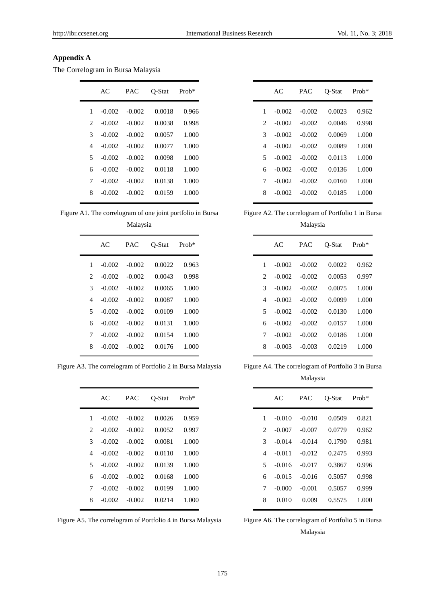## **Appendix A**

The Correlogram in Bursa Malaysia

|                             | AC       | <b>PAC</b> | O-Stat | $Prob*$ |
|-----------------------------|----------|------------|--------|---------|
| 1                           | $-0.002$ | $-0.002$   | 0.0018 | 0.966   |
| $\mathcal{D}_{\mathcal{L}}$ | $-0.002$ | $-0.002$   | 0.0038 | 0.998   |
| 3                           | $-0.002$ | $-0.002$   | 0.0057 | 1.000   |
| $\overline{4}$              | $-0.002$ | $-0.002$   | 0.0077 | 1.000   |
| 5                           | $-0.002$ | $-0.002$   | 0.0098 | 1.000   |
| 6                           | $-0.002$ | $-0.002$   | 0.0118 | 1.000   |
| 7                           | $-0.002$ | $-0.002$   | 0.0138 | 1.000   |
| 8                           | $-0.002$ | $-0.002$   | 0.0159 | 1.000   |
|                             |          |            |        |         |

Figure A1. The correlogram of one joint portfolio in Bursa

|   |          | Malaysia |        |         |
|---|----------|----------|--------|---------|
|   | AC       | PAC      | Q-Stat | $Prob*$ |
| 1 | $-0.002$ | $-0.002$ | 0.0022 | 0.963   |
| 2 | $-0.002$ | $-0.002$ | 0.0043 | 0.998   |
| 3 | $-0.002$ | $-0.002$ | 0.0065 | 1.000   |
| 4 | $-0.002$ | $-0.002$ | 0.0087 | 1.000   |
| 5 | $-0.002$ | $-0.002$ | 0.0109 | 1.000   |
| 6 | $-0.002$ | $-0.002$ | 0.0131 | 1.000   |
| 7 | $-0.002$ | $-0.002$ | 0.0154 | 1.000   |
| 8 | $-0.002$ | $-0.002$ | 0.0176 | 1.000   |
|   |          |          |        |         |

|                             | AC       | <b>PAC</b> | O-Stat | $Prob*$ |
|-----------------------------|----------|------------|--------|---------|
| 1                           | $-0.002$ | $-0.002$   | 0.0026 | 0.959   |
| $\mathcal{D}_{\mathcal{L}}$ | $-0.002$ | $-0.002$   | 0.0052 | 0.997   |
| 3                           | $-0.002$ | $-0.002$   | 0.0081 | 1.000   |
| 4                           | $-0.002$ | $-0.002$   | 0.0110 | 1.000   |
| 5                           | $-0.002$ | $-0.002$   | 0.0139 | 1.000   |
| 6                           | $-0.002$ | $-0.002$   | 0.0168 | 1.000   |
| 7                           | $-0.002$ | $-0.002$   | 0.0199 | 1.000   |
| 8                           | -0.002   | $-0.002$   | 0.0214 | 1.000   |

Figure A5. The correlogram of Portfolio 4 in Bursa Malaysia

|                        | AC       | <b>PAC</b> | O-Stat | $Prob*$ |
|------------------------|----------|------------|--------|---------|
| 1                      | $-0.002$ | $-0.002$   | 0.0023 | 0.962   |
| $\mathfrak{D}_{\cdot}$ | $-0.002$ | $-0.002$   | 0.0046 | 0.998   |
| 3                      | $-0.002$ | $-0.002$   | 0.0069 | 1.000   |
| 4                      | $-0.002$ | $-0.002$   | 0.0089 | 1.000   |
| 5                      | $-0.002$ | $-0.002$   | 0.0113 | 1.000   |
| 6                      | $-0.002$ | $-0.002$   | 0.0136 | 1.000   |
| 7                      | $-0.002$ | $-0.002$   | 0.0160 | 1.000   |
| 8                      | $-0.002$ | $-0.002$   | 0.0185 | 1.000   |
|                        |          |            |        |         |

| Figure A2. The correlogram of Portfolio 1 in Bursa |
|----------------------------------------------------|
| Malaysia                                           |

|                        | AC       | PAC.     | O-Stat | $Prob*$ |
|------------------------|----------|----------|--------|---------|
| 1                      | $-0.002$ | $-0.002$ | 0.0022 | 0.962   |
| $\mathfrak{D}_{\cdot}$ | $-0.002$ | $-0.002$ | 0.0053 | 0.997   |
| 3                      | $-0.002$ | $-0.002$ | 0.0075 | 1.000   |
| 4                      | $-0.002$ | $-0.002$ | 0.0099 | 1.000   |
| 5                      | $-0.002$ | $-0.002$ | 0.0130 | 1.000   |
| 6                      | $-0.002$ | $-0.002$ | 0.0157 | 1.000   |
| 7                      | $-0.002$ | $-0.002$ | 0.0186 | 1.000   |
| 8                      | -0.003   | $-0.003$ | 0.0219 | 1.000   |
|                        |          |          |        |         |

Figure A3. The correlogram of Portfolio 2 in Bursa Malaysia Figure A4. The correlogram of Portfolio 3 in Bursa Malaysia

|   | AC       | <b>PAC</b> | O-Stat | $Prob*$ |
|---|----------|------------|--------|---------|
| 1 | $-0.010$ | $-0.010$   | 0.0509 | 0.821   |
| 2 | $-0.007$ | $-0.007$   | 0.0779 | 0.962   |
| 3 | $-0.014$ | $-0.014$   | 0.1790 | 0.981   |
| 4 | $-0.011$ | $-0.012$   | 0.2475 | 0.993   |
| 5 | $-0.016$ | $-0.017$   | 0.3867 | 0.996   |
| 6 | $-0.015$ | $-0.016$   | 0.5057 | 0.998   |
| 7 | $-0.000$ | $-0.001$   | 0.5057 | 0.999   |
| 8 | 0.010    | 0.009      | 0.5575 | 1.000   |
|   |          |            |        |         |

| Figure A6. The correlogram of Portfolio 5 in Bursa |
|----------------------------------------------------|
| Malaysia                                           |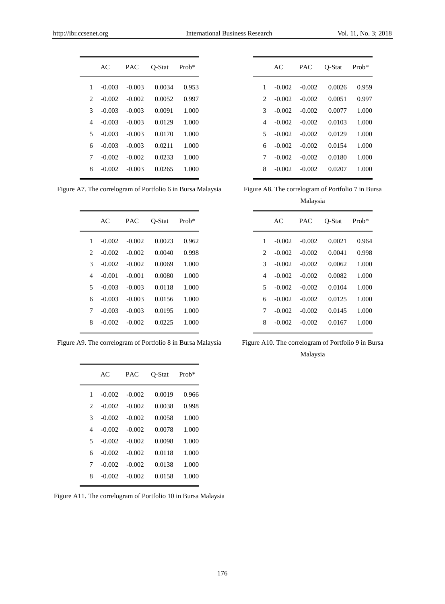|                             | AC       | PAC      | O-Stat | $Prob*$ |
|-----------------------------|----------|----------|--------|---------|
| 1                           | $-0.003$ | $-0.003$ | 0.0034 | 0.953   |
| $\mathcal{D}_{\mathcal{L}}$ | $-0.002$ | $-0.002$ | 0.0052 | 0.997   |
| 3                           | $-0.003$ | $-0.003$ | 0.0091 | 1.000   |
| 4                           | $-0.003$ | $-0.003$ | 0.0129 | 1.000   |
| 5                           | $-0.003$ | $-0.003$ | 0.0170 | 1.000   |
| 6                           | $-0.003$ | $-0.003$ | 0.0211 | 1.000   |
| 7                           | $-0.002$ | $-0.002$ | 0.0233 | 1.000   |
| 8                           | $-0.002$ | $-0.003$ | 0.0265 | 1.000   |
|                             |          |          |        |         |

Figure A7. The correlogram of Portfolio 6 in Bursa Malaysia Figure A8. The correlogram of Portfolio 7 in Bursa

|                             | AC       | PAC      | O-Stat | $Prob*$ |
|-----------------------------|----------|----------|--------|---------|
|                             |          |          |        |         |
| 1                           | $-0.002$ | $-0.002$ | 0.0023 | 0.962   |
| $\mathcal{D}_{\mathcal{L}}$ | $-0.002$ | $-0.002$ | 0.0040 | 0.998   |
| 3                           | $-0.002$ | $-0.002$ | 0.0069 | 1.000   |
| 4                           | $-0.001$ | $-0.001$ | 0.0080 | 1.000   |
| 5                           | $-0.003$ | $-0.003$ | 0.0118 | 1.000   |
| 6                           | $-0.003$ | $-0.003$ | 0.0156 | 1.000   |
| 7                           | $-0.003$ | $-0.003$ | 0.0195 | 1.000   |
| 8                           | $-0.002$ | $-0.002$ | 0.0225 | 1.000   |

Figure A9. The correlogram of Portfolio 8 in Bursa Malaysia

|                | AC       | <b>PAC</b> | O-Stat | $Prob*$ |
|----------------|----------|------------|--------|---------|
| 1              | $-0.002$ | $-0.002$   | 0.0019 | 0.966   |
| $\mathfrak{D}$ | $-0.002$ | $-0.002$   | 0.0038 | 0.998   |
| 3              | $-0.002$ | $-0.002$   | 0.0058 | 1.000   |
| $\overline{4}$ | $-0.002$ | $-0.002$   | 0.0078 | 1.000   |
| 5              | $-0.002$ | $-0.002$   | 0.0098 | 1.000   |
| 6              | $-0.002$ | $-0.002$   | 0.0118 | 1.000   |
| 7              | $-0.002$ | $-0.002$   | 0.0138 | 1.000   |
| 8              | $-0.002$ | $-0.002$   | 0.0158 | 1.000   |
|                |          |            |        |         |

Figure A11. The correlogram of Portfolio 10 in Bursa Malaysia

|                | AC       | PAC      | O-Stat | $Prob*$ |
|----------------|----------|----------|--------|---------|
| 1              | $-0.002$ | $-0.002$ | 0.0026 | 0.959   |
| $\mathfrak{D}$ | $-0.002$ | $-0.002$ | 0.0051 | 0.997   |
| 3              | $-0.002$ | $-0.002$ | 0.0077 | 1.000   |
| 4              | $-0.002$ | $-0.002$ | 0.0103 | 1.000   |
| 5              | $-0.002$ | $-0.002$ | 0.0129 | 1.000   |
| 6              | $-0.002$ | $-0.002$ | 0.0154 | 1.000   |
| 7              | $-0.002$ | $-0.002$ | 0.0180 | 1.000   |
| 8              | $-0.002$ | $-0.002$ | 0.0207 | 1.000   |

Malaysia

|                        | AC       | <b>PAC</b> | O-Stat | $Prob*$ |
|------------------------|----------|------------|--------|---------|
| 1                      | $-0.002$ | $-0.002$   | 0.0021 | 0.964   |
| $\mathfrak{D}_{\cdot}$ | $-0.002$ | $-0.002$   | 0.0041 | 0.998   |
| 3                      | $-0.002$ | $-0.002$   | 0.0062 | 1.000   |
| 4                      | $-0.002$ | $-0.002$   | 0.0082 | 1.000   |
| 5                      | $-0.002$ | $-0.002$   | 0.0104 | 1.000   |
| 6                      | $-0.002$ | $-0.002$   | 0.0125 | 1.000   |
| 7                      | $-0.002$ | $-0.002$   | 0.0145 | 1.000   |
| 8                      | -0.002   | $-0.002$   | 0.0167 | 1.000   |
|                        |          |            |        |         |

| Figure A10. The correlogram of Portfolio 9 in Bursa |  |
|-----------------------------------------------------|--|
| Malaysia                                            |  |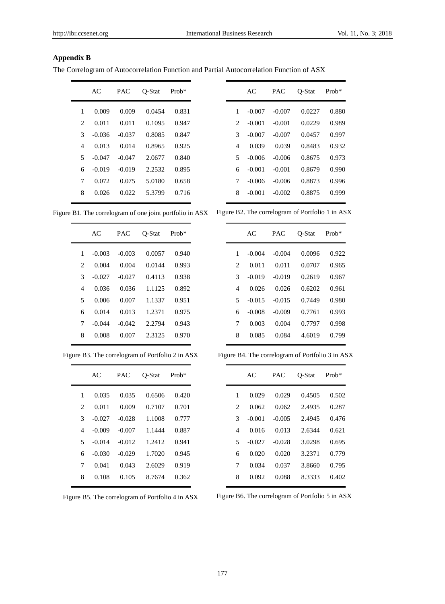## **Appendix B**

The Correlogram of Autocorrelation Function and Partial Autocorrelation Function of ASX

|              | AC       | <b>PAC</b> | O-Stat | $Prob*$ |   |              | AC.      | <b>PAC</b> | O-Stat | $Prob*$ |
|--------------|----------|------------|--------|---------|---|--------------|----------|------------|--------|---------|
| $\mathbf{1}$ | 0.009    | 0.009      | 0.0454 | 0.831   |   | $\mathbf{1}$ | $-0.007$ | $-0.007$   | 0.0227 | 0.880   |
| 2            | 0.011    | 0.011      | 0.1095 | 0.947   |   | 2            | $-0.001$ | $-0.001$   | 0.0229 | 0.989   |
| 3            | $-0.036$ | $-0.037$   | 0.8085 | 0.847   |   | 3            | $-0.007$ | $-0.007$   | 0.0457 | 0.997   |
| 4            | 0.013    | 0.014      | 0.8965 | 0.925   |   | 4            | 0.039    | 0.039      | 0.8483 | 0.932   |
| 5            | $-0.047$ | $-0.047$   | 2.0677 | 0.840   |   | 5            | $-0.006$ | $-0.006$   | 0.8675 | 0.973   |
| 6            | $-0.019$ | $-0.019$   | 2.2532 | 0.895   |   | 6            | $-0.001$ | $-0.001$   | 0.8679 | 0.990   |
| 7            | 0.072    | 0.075      | 5.0180 | 0.658   |   | 7            | $-0.006$ | $-0.006$   | 0.8873 | 0.996   |
| 8            | 0.026    | 0.022      | 5.3799 | 0.716   | 8 |              | $-0.001$ | $-0.002$   | 0.8875 | 0.999   |

|  | Figure B1. The correlogram of one joint portfolio in ASX Figure B2. The correlogram of Portfolio 1 in ASX |  |
|--|-----------------------------------------------------------------------------------------------------------|--|
|  |                                                                                                           |  |

|                             | AC       | PAC.     | O-Stat | $Prob*$ |  |
|-----------------------------|----------|----------|--------|---------|--|
| 1                           | $-0.003$ | $-0.003$ | 0.0057 | 0.940   |  |
| $\mathcal{D}_{\mathcal{L}}$ | 0.004    | 0.004    | 0.0144 | 0.993   |  |
| 3                           | $-0.027$ | $-0.027$ | 0.4113 | 0.938   |  |
| 4                           | 0.036    | 0.036    | 1.1125 | 0.892   |  |
| 5                           | 0.006    | 0.007    | 1.1337 | 0.951   |  |
| 6                           | 0.014    | 0.013    | 1.2371 | 0.975   |  |
| 7                           | $-0.044$ | $-0.042$ | 2.2794 | 0.943   |  |
| 8                           | 0.008    | 0.007    | 2.3125 | 0.970   |  |

|                             | AC       | PAC.     | O-Stat | $Prob*$ |
|-----------------------------|----------|----------|--------|---------|
| 1                           | $-0.004$ | $-0.004$ | 0.0096 | 0.922   |
| $\mathcal{D}_{\mathcal{L}}$ | 0.011    | 0.011    | 0.0707 | 0.965   |
| 3                           | $-0.019$ | $-0.019$ | 0.2619 | 0.967   |
| 4                           | 0.026    | 0.026    | 0.6202 | 0.961   |
| 5                           | $-0.015$ | $-0.015$ | 0.7449 | 0.980   |
| 6                           | $-0.008$ | $-0.009$ | 0.7761 | 0.993   |
| 7                           | 0.003    | 0.004    | 0.7797 | 0.998   |
| 8                           | 0.085    | 0.084    | 4.6019 | 0.799   |

Figure B3. The correlogram of Portfolio 2 in ASX Figure B4. The correlogram of Portfolio 3 in ASX

|                             | AC       | <b>PAC</b> | O-Stat | $Prob*$ |
|-----------------------------|----------|------------|--------|---------|
| 1                           | 0.035    | 0.035      | 0.6506 | 0.420   |
| $\mathcal{D}_{\mathcal{L}}$ | 0.011    | 0.009      | 0.7107 | 0.701   |
| 3                           | $-0.027$ | $-0.028$   | 1.1008 | 0.777   |
| 4                           | $-0.009$ | $-0.007$   | 1.1444 | 0.887   |
| 5                           | $-0.014$ | $-0.012$   | 1.2412 | 0.941   |
| 6                           | $-0.030$ | $-0.029$   | 1.7020 | 0.945   |
| 7                           | 0.041    | 0.043      | 2.6029 | 0.919   |
| 8                           | 0.108    | 0.105      | 8.7674 | 0.362   |
|                             |          |            |        |         |

|                | AC       | <b>PAC</b> | O-Stat | $Proh*$ |
|----------------|----------|------------|--------|---------|
| 1              | 0.029    | 0.029      | 0.4505 | 0.502   |
| $\mathfrak{D}$ | 0.062    | 0.062      | 2.4935 | 0.287   |
| 3              | $-0.001$ | $-0.005$   | 2.4945 | 0.476   |
| 4              | 0.016    | 0.013      | 2.6344 | 0.621   |
| 5              | $-0.027$ | $-0.028$   | 3.0298 | 0.695   |
| 6              | 0.020    | 0.020      | 3.2371 | 0.779   |
| 7              | 0.034    | 0.037      | 3.8660 | 0.795   |
| 8              | 0.092    | 0.088      | 8.3333 | 0.402   |
|                |          |            |        |         |

Figure B5. The correlogram of Portfolio 4 in ASX Figure B6. The correlogram of Portfolio 5 in ASX